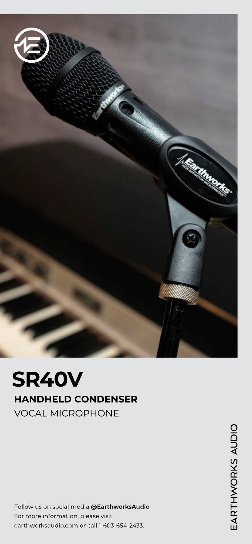

# SR40V HANDHELD CONDENSER VOCAL MICROPHONE

Follow us on social media @EarthworksAudio For more information, please visit earthworksaudio.com or call 1-603-654-2433.

EARTHWORKS AUDIO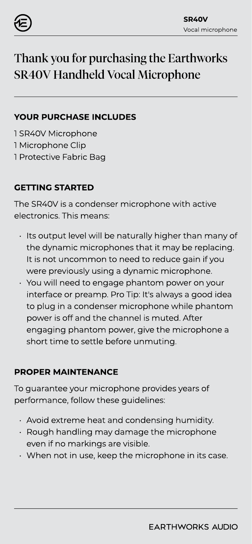

## Thank you for purchasing the Earthworks SR40V Handheld Vocal Microphone

#### YOUR PURCHASE INCLUDES

1 SR40V Microphone 1 Microphone Clip 1 Protective Fabric Bag

### GETTING STARTED

The SR40V is a condenser microphone with active electronics. This means:

- Its output level will be naturally higher than many of the dynamic microphones that it may be replacing. It is not uncommon to need to reduce gain if you were previously using a dynamic microphone.
- You will need to engage phantom power on your interface or preamp. Pro Tip: It's always a good idea to plug in a condenser microphone while phantom power is off and the channel is muted. After engaging phantom power, give the microphone a short time to settle before unmuting.

#### PROPER MAINTENANCE

To guarantee your microphone provides years of performance, follow these guidelines:

- Avoid extreme heat and condensing humidity.
- Rough handling may damage the microphone even if no markings are visible.
- When not in use, keep the microphone in its case.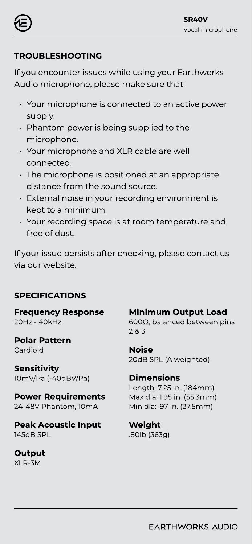

### TROUBLESHOOTING

If you encounter issues while using your Earthworks Audio microphone, please make sure that

- Your microphone is connected to an active power supply.
- Phantom power is being supplied to the microphone.
- Your microphone and XLR cable are well connected.
- The microphone is positioned at an appropriate distance from the sound source.
- External noise in your recording environment is kept to a minimum.
- Your recording space is at room temperature and free of dust.

If your issue persists after checking, please contact us via our website.

#### SPECIFICATIONS

Frequency Response 20Hz - 40kHz

Polar Pattern Cardioid

**Sensitivity** 10mV/Pa (-40dBV/Pa)

Power Requirements 24-48V Phantom, 10mA

Peak Acoustic Input 145dB SPL

**Output** XLR-3M

Minimum Output Load 600Ω, balanced between pins

2 & 3

Noise 20dB SPL (A weighted)

Dimensions Length: 7.25 in. (184mm) Max dia: 1.95 in. (55.3mm) Min dia: .97 in. (27.5mm)

Weight .80lb (363g)